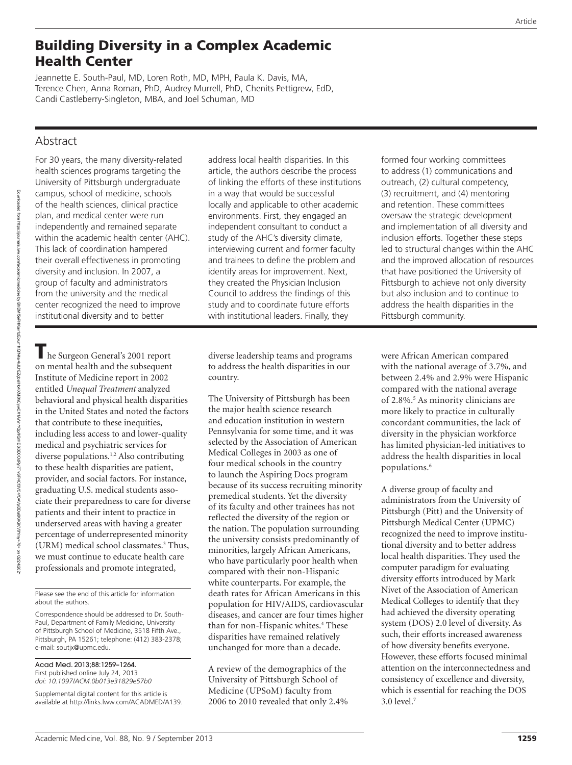# Building Diversity in a Complex Academic Health Center

Jeannette E. South-Paul, MD, Loren Roth, MD, MPH, Paula K. Davis, MA, Terence Chen, Anna Roman, PhD, Audrey Murrell, PhD, Chenits Pettigrew, EdD, Candi Castleberry-Singleton, MBA, and Joel Schuman, MD

# Abstract

For 30 years, the many diversity-related health sciences programs targeting the University of Pittsburgh undergraduate campus, school of medicine, schools of the health sciences, clinical practice plan, and medical center were run independently and remained separate within the academic health center (AHC). This lack of coordination hampered their overall effectiveness in promoting diversity and inclusion. In 2007, a group of faculty and administrators from the university and the medical center recognized the need to improve institutional diversity and to better

address local health disparities. In this article, the authors describe the process of linking the efforts of these institutions in a way that would be successful locally and applicable to other academic environments. First, they engaged an independent consultant to conduct a study of the AHC's diversity climate, interviewing current and former faculty and trainees to define the problem and identify areas for improvement. Next, they created the Physician Inclusion Council to address the findings of this study and to coordinate future efforts with institutional leaders. Finally, they

The Surgeon General's 2001 report on mental health and the subsequent Institute of Medicine report in 2002 entitled *Unequal Treatment* analyzed behavioral and physical health disparities in the United States and noted the factors that contribute to these inequities, including less access to and lower-quality medical and psychiatric services for diverse populations.1,2 Also contributing to these health disparities are patient, provider, and social factors. For instance, graduating U.S. medical students associate their preparedness to care for diverse patients and their intent to practice in underserved areas with having a greater percentage of underrepresented minority (URM) medical school classmates.3 Thus, we must continue to educate health care professionals and promote integrated,

Please see the end of this article for information about the authors.

Correspondence should be addressed to Dr. South-Paul, Department of Family Medicine, University of Pittsburgh School of Medicine, 3518 Fifth Ave., Pittsburgh, PA 15261; telephone: (412) 383-2378; e-mail: [soutjx@upmc.edu](mailto:soutjx@upmc.edu).

Acad Med. 2013;88:1259–1264. First published online July 24, 2013 *doi: 10.1097/ACM.0b013e31829e57b0*

Supplemental digital content for this article is available at [http://links.lww.com/ACADMED/A139.](http://links.lww.com/ACADMED/A139) diverse leadership teams and programs to address the health disparities in our country.

The University of Pittsburgh has been the major health science research and education institution in western Pennsylvania for some time, and it was selected by the Association of American Medical Colleges in 2003 as one of four medical schools in the country to launch the Aspiring Docs program because of its success recruiting minority premedical students. Yet the diversity of its faculty and other trainees has not reflected the diversity of the region or the nation. The population surrounding the university consists predominantly of minorities, largely African Americans, who have particularly poor health when compared with their non-Hispanic white counterparts. For example, the death rates for African Americans in this population for HIV/AIDS, cardiovascular diseases, and cancer are four times higher than for non-Hispanic whites.4 These disparities have remained relatively unchanged for more than a decade.

A review of the demographics of the University of Pittsburgh School of Medicine (UPSoM) faculty from 2006 to 2010 revealed that only 2.4% formed four working committees to address (1) communications and outreach, (2) cultural competency, (3) recruitment, and (4) mentoring and retention. These committees oversaw the strategic development and implementation of all diversity and inclusion efforts. Together these steps led to structural changes within the AHC and the improved allocation of resources that have positioned the University of Pittsburgh to achieve not only diversity but also inclusion and to continue to address the health disparities in the Pittsburgh community.

were African American compared with the national average of 3.7%, and between 2.4% and 2.9% were Hispanic compared with the national average of 2.8%.<sup>5</sup> As minority clinicians are more likely to practice in culturally concordant communities, the lack of diversity in the physician workforce has limited physician-led initiatives to address the health disparities in local populations.6

A diverse group of faculty and administrators from the University of Pittsburgh (Pitt) and the University of Pittsburgh Medical Center (UPMC) recognized the need to improve institutional diversity and to better address local health disparities. They used the computer paradigm for evaluating diversity efforts introduced by Mark Nivet of the Association of American Medical Colleges to identify that they had achieved the diversity operating system (DOS) 2.0 level of diversity. As such, their efforts increased awareness of how diversity benefits everyone. However, these efforts focused minimal attention on the interconnectedness and consistency of excellence and diversity, which is essential for reaching the DOS 3.0 level.7

Downloaded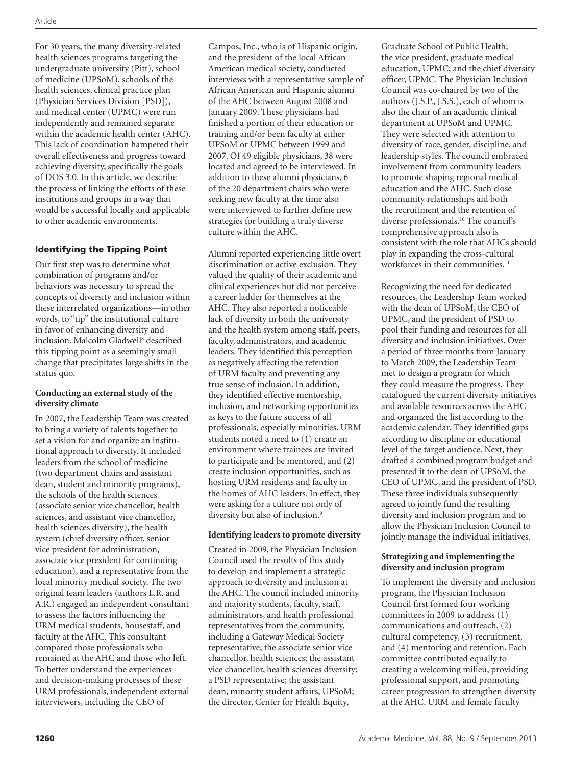For 30 years, the many diversity-related health sciences programs targeting the undergraduate university (Pitt), school of medicine (UPSoM), schools of the health sciences, clinical practice plan (Physician Services Division [PSD]), and medical center (UPMC) were run independently and remained separate within the academic health center (AHC). This lack of coordination hampered their overall effectiveness and progress toward achieving diversity, specifically the goals of DOS 3.0. In this article, we describe the process of linking the efforts of these institutions and groups in a way that would be successful locally and applicable to other academic environments.

## Identifying the Tipping Point

Our first step was to determine what combination of programs and/or behaviors was necessary to spread the concepts of diversity and inclusion within these interrelated organizations—in other words, to "tip" the institutional culture in favor of enhancing diversity and inclusion. Malcolm Gladwell<sup>8</sup> described this tipping point as a seemingly small change that precipitates large shifts in the status quo.

#### **Conducting an external study of the diversity climate**

In 2007, the Leadership Team was created to bring a variety of talents together to set a vision for and organize an institutional approach to diversity. It included leaders from the school of medicine (two department chairs and assistant dean, student and minority programs), the schools of the health sciences (associate senior vice chancellor, health sciences, and assistant vice chancellor, health sciences diversity), the health system (chief diversity officer, senior vice president for administration, associate vice president for continuing education), and a representative from the local minority medical society. The two original team leaders (authors L.R. and A.R.) engaged an independent consultant to assess the factors influencing the URM medical students, housestaff, and faculty at the AHC. This consultant compared those professionals who remained at the AHC and those who left. To better understand the experiences and decision-making processes of these URM professionals, independent external interviewers, including the CEO of

Campos, Inc., who is of Hispanic origin, and the president of the local African American medical society, conducted interviews with a representative sample of African American and Hispanic alumni of the AHC between August 2008 and January 2009. These physicians had finished a portion of their education or training and/or been faculty at either UPSoM or UPMC between 1999 and 2007. Of 49 eligible physicians, 38 were located and agreed to be interviewed. In addition to these alumni physicians, 6 of the 20 department chairs who were seeking new faculty at the time also were interviewed to further define new strategies for building a truly diverse culture within the AHC.

Alumni reported experiencing little overt discrimination or active exclusion. They valued the quality of their academic and clinical experiences but did not perceive a career ladder for themselves at the AHC. They also reported a noticeable lack of diversity in both the university and the health system among staff, peers, faculty, administrators, and academic leaders. They identified this perception as negatively affecting the retention of URM faculty and preventing any true sense of inclusion. In addition, they identified effective mentorship, inclusion, and networking opportunities as keys to the future success of all professionals, especially minorities. URM students noted a need to (1) create an environment where trainees are invited to participate and be mentored, and (2) create inclusion opportunities, such as hosting URM residents and faculty in the homes of AHC leaders. In effect, they were asking for a culture not only of diversity but also of inclusion.<sup>9</sup>

### **Identifying leaders to promote diversity**

Created in 2009, the Physician Inclusion Council used the results of this study to develop and implement a strategic approach to diversity and inclusion at the AHC. The council included minority and majority students, faculty, staff, administrators, and health professional representatives from the community, including a Gateway Medical Society representative; the associate senior vice chancellor, health sciences; the assistant vice chancellor, health sciences diversity; a PSD representative; the assistant dean, minority student affairs, UPSoM; the director, Center for Health Equity,

Graduate School of Public Health; the vice president, graduate medical education, UPMC; and the chief diversity officer, UPMC. The Physician Inclusion Council was co-chaired by two of the authors (J.S.P., J.S.S.), each of whom is also the chair of an academic clinical department at UPSoM and UPMC. They were selected with attention to diversity of race, gender, discipline, and leadership styles. The council embraced involvement from community leaders to promote shaping regional medical education and the AHC. Such close community relationships aid both the recruitment and the retention of diverse professionals.10 The council's comprehensive approach also is consistent with the role that AHCs should play in expanding the cross-cultural workforces in their communities.<sup>11</sup>

Recognizing the need for dedicated resources, the Leadership Team worked with the dean of UPSoM, the CEO of UPMC, and the president of PSD to pool their funding and resources for all diversity and inclusion initiatives. Over a period of three months from January to March 2009, the Leadership Team met to design a program for which they could measure the progress. They catalogued the current diversity initiatives and available resources across the AHC and organized the list according to the academic calendar. They identified gaps according to discipline or educational level of the target audience. Next, they drafted a combined program budget and presented it to the dean of UPSoM, the CEO of UPMC, and the president of PSD. These three individuals subsequently agreed to jointly fund the resulting diversity and inclusion program and to allow the Physician Inclusion Council to jointly manage the individual initiatives.

#### **Strategizing and implementing the diversity and inclusion program**

To implement the diversity and inclusion program, the Physician Inclusion Council first formed four working committees in 2009 to address (1) communications and outreach, (2) cultural competency, (3) recruitment, and (4) mentoring and retention. Each committee contributed equally to creating a welcoming milieu, providing professional support, and promoting career progression to strengthen diversity at the AHC. URM and female faculty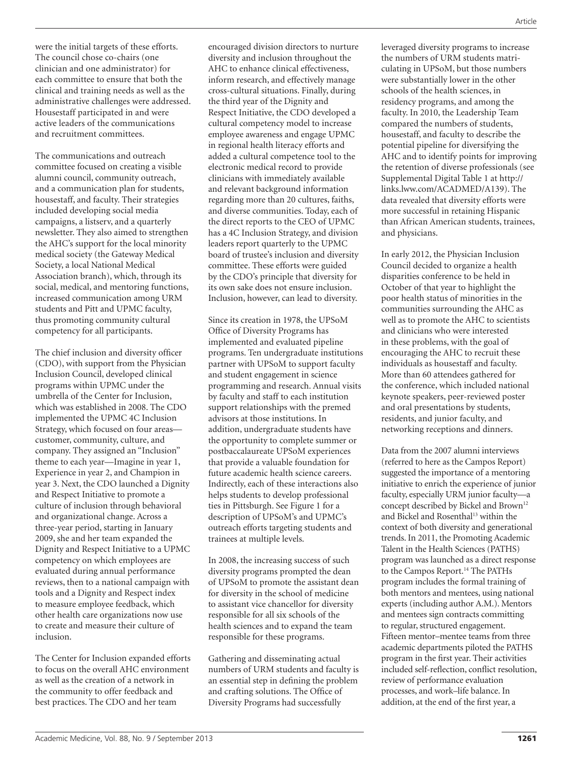were the initial targets of these efforts. The council chose co-chairs (one clinician and one administrator) for each committee to ensure that both the clinical and training needs as well as the administrative challenges were addressed. Housestaff participated in and were active leaders of the communications and recruitment committees.

The communications and outreach committee focused on creating a visible alumni council, community outreach, and a communication plan for students, housestaff, and faculty. Their strategies included developing social media campaigns, a listserv, and a quarterly newsletter. They also aimed to strengthen the AHC's support for the local minority medical society (the Gateway Medical Society, a local National Medical Association branch), which, through its social, medical, and mentoring functions, increased communication among URM students and Pitt and UPMC faculty, thus promoting community cultural competency for all participants.

The chief inclusion and diversity officer (CDO), with support from the Physician Inclusion Council, developed clinical programs within UPMC under the umbrella of the Center for Inclusion, which was established in 2008. The CDO implemented the UPMC 4C Inclusion Strategy, which focused on four areas customer, community, culture, and company. They assigned an "Inclusion" theme to each year—Imagine in year 1, Experience in year 2, and Champion in year 3. Next, the CDO launched a Dignity and Respect Initiative to promote a culture of inclusion through behavioral and organizational change. Across a three-year period, starting in January 2009, she and her team expanded the Dignity and Respect Initiative to a UPMC competency on which employees are evaluated during annual performance reviews, then to a national campaign with tools and a Dignity and Respect index to measure employee feedback, which other health care organizations now use to create and measure their culture of inclusion.

The Center for Inclusion expanded efforts to focus on the overall AHC environment as well as the creation of a network in the community to offer feedback and best practices. The CDO and her team

encouraged division directors to nurture diversity and inclusion throughout the AHC to enhance clinical effectiveness, inform research, and effectively manage cross-cultural situations. Finally, during the third year of the Dignity and Respect Initiative, the CDO developed a cultural competency model to increase employee awareness and engage UPMC in regional health literacy efforts and added a cultural competence tool to the electronic medical record to provide clinicians with immediately available and relevant background information regarding more than 20 cultures, faiths, and diverse communities. Today, each of the direct reports to the CEO of UPMC has a 4C Inclusion Strategy, and division leaders report quarterly to the UPMC board of trustee's inclusion and diversity committee. These efforts were guided by the CDO's principle that diversity for its own sake does not ensure inclusion. Inclusion, however, can lead to diversity.

Since its creation in 1978, the UPSoM Office of Diversity Programs has implemented and evaluated pipeline programs. Ten undergraduate institutions partner with UPSoM to support faculty and student engagement in science programming and research. Annual visits by faculty and staff to each institution support relationships with the premed advisors at those institutions. In addition, undergraduate students have the opportunity to complete summer or postbaccalaureate UPSoM experiences that provide a valuable foundation for future academic health science careers. Indirectly, each of these interactions also helps students to develop professional ties in Pittsburgh. See Figure 1 for a description of UPSoM's and UPMC's outreach efforts targeting students and trainees at multiple levels.

In 2008, the increasing success of such diversity programs prompted the dean of UPSoM to promote the assistant dean for diversity in the school of medicine to assistant vice chancellor for diversity responsible for all six schools of the health sciences and to expand the team responsible for these programs.

Gathering and disseminating actual numbers of URM students and faculty is an essential step in defining the problem and crafting solutions. The Office of Diversity Programs had successfully

leveraged diversity programs to increase the numbers of URM students matriculating in UPSoM, but those numbers were substantially lower in the other schools of the health sciences, in residency programs, and among the faculty. In 2010, the Leadership Team compared the numbers of students, housestaff, and faculty to describe the potential pipeline for diversifying the AHC and to identify points for improving the retention of diverse professionals (see Supplemental Digital Table 1 at [http://](http://links.lww.com/ACADMED/A139) [links.lww.com/ACADMED/A139\)](http://links.lww.com/ACADMED/A139). The data revealed that diversity efforts were more successful in retaining Hispanic than African American students, trainees, and physicians.

In early 2012, the Physician Inclusion Council decided to organize a health disparities conference to be held in October of that year to highlight the poor health status of minorities in the communities surrounding the AHC as well as to promote the AHC to scientists and clinicians who were interested in these problems, with the goal of encouraging the AHC to recruit these individuals as housestaff and faculty. More than 60 attendees gathered for the conference, which included national keynote speakers, peer-reviewed poster and oral presentations by students, residents, and junior faculty, and networking receptions and dinners.

Data from the 2007 alumni interviews (referred to here as the Campos Report) suggested the importance of a mentoring initiative to enrich the experience of junior faculty, especially URM junior faculty—a concept described by Bickel and Brown<sup>12</sup> and Bickel and Rosenthal<sup>13</sup> within the context of both diversity and generational trends. In 2011, the Promoting Academic Talent in the Health Sciences (PATHS) program was launched as a direct response to the Campos Report.<sup>14</sup> The PATHs program includes the formal training of both mentors and mentees, using national experts (including author A.M.). Mentors and mentees sign contracts committing to regular, structured engagement. Fifteen mentor–mentee teams from three academic departments piloted the PATHS program in the first year. Their activities included self-reflection, conflict resolution, review of performance evaluation processes, and work–life balance. In addition, at the end of the first year, a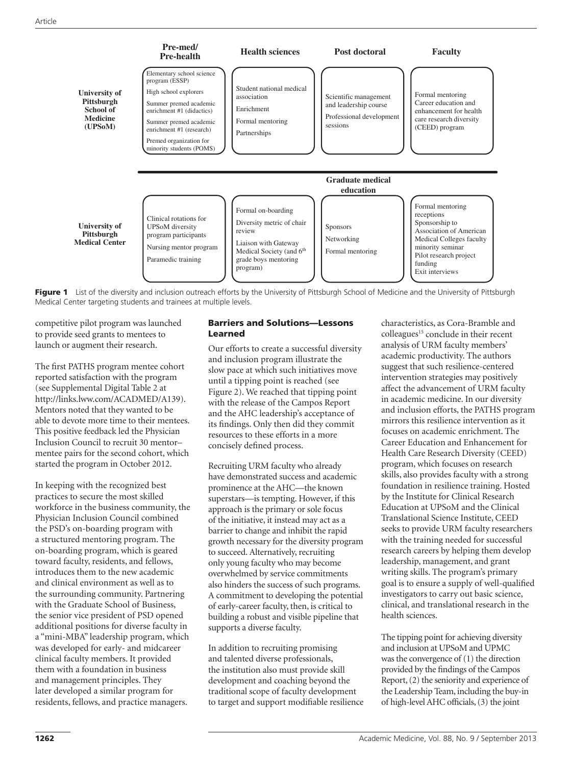

Figure 1 List of the diversity and inclusion outreach efforts by the University of Pittsburgh School of Medicine and the University of Pittsburgh Medical Center targeting students and trainees at multiple levels.

competitive pilot program was launched to provide seed grants to mentees to launch or augment their research.

The first PATHS program mentee cohort reported satisfaction with the program (see Supplemental Digital Table 2 at <http://links.lww.com/ACADMED/A139>). Mentors noted that they wanted to be able to devote more time to their mentees. This positive feedback led the Physician Inclusion Council to recruit 30 mentor– mentee pairs for the second cohort, which started the program in October 2012.

In keeping with the recognized best practices to secure the most skilled workforce in the business community, the Physician Inclusion Council combined the PSD's on-boarding program with a structured mentoring program. The on-boarding program, which is geared toward faculty, residents, and fellows, introduces them to the new academic and clinical environment as well as to the surrounding community. Partnering with the Graduate School of Business, the senior vice president of PSD opened additional positions for diverse faculty in a "mini-MBA" leadership program, which was developed for early- and midcareer clinical faculty members. It provided them with a foundation in business and management principles. They later developed a similar program for residents, fellows, and practice managers.

#### Barriers and Solutions—Lessons Learned

Our efforts to create a successful diversity and inclusion program illustrate the slow pace at which such initiatives move until a tipping point is reached (see Figure 2). We reached that tipping point with the release of the Campos Report and the AHC leadership's acceptance of its findings. Only then did they commit resources to these efforts in a more concisely defined process.

Recruiting URM faculty who already have demonstrated success and academic prominence at the AHC—the known superstars—is tempting. However, if this approach is the primary or sole focus of the initiative, it instead may act as a barrier to change and inhibit the rapid growth necessary for the diversity program to succeed. Alternatively, recruiting only young faculty who may become overwhelmed by service commitments also hinders the success of such programs. A commitment to developing the potential of early-career faculty, then, is critical to building a robust and visible pipeline that supports a diverse faculty.

In addition to recruiting promising and talented diverse professionals, the institution also must provide skill development and coaching beyond the traditional scope of faculty development to target and support modifiable resilience characteristics, as Cora-Bramble and colleagues<sup>15</sup> conclude in their recent analysis of URM faculty members' academic productivity. The authors suggest that such resilience-centered intervention strategies may positively affect the advancement of URM faculty in academic medicine. In our diversity and inclusion efforts, the PATHS program mirrors this resilience intervention as it focuses on academic enrichment. The Career Education and Enhancement for Health Care Research Diversity (CEED) program, which focuses on research skills, also provides faculty with a strong foundation in resilience training. Hosted by the Institute for Clinical Research Education at UPSoM and the Clinical Translational Science Institute, CEED seeks to provide URM faculty researchers with the training needed for successful research careers by helping them develop leadership, management, and grant writing skills. The program's primary goal is to ensure a supply of well-qualified investigators to carry out basic science, clinical, and translational research in the health sciences.

The tipping point for achieving diversity and inclusion at UPSoM and UPMC was the convergence of (1) the direction provided by the findings of the Campos Report, (2) the seniority and experience of the Leadership Team, including the buy-in of high-level AHC officials, (3) the joint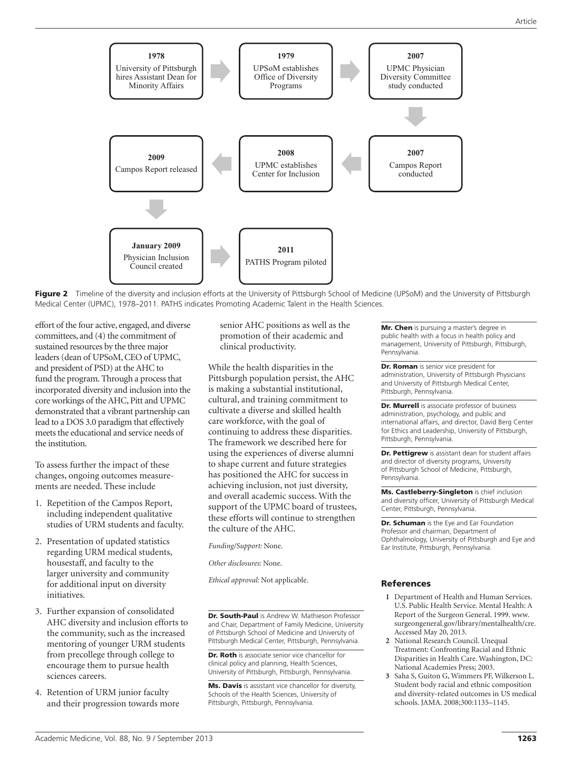

Figure 2 Timeline of the diversity and inclusion efforts at the University of Pittsburgh School of Medicine (UPSoM) and the University of Pittsburgh Medical Center (UPMC), 1978–2011. PATHS indicates Promoting Academic Talent in the Health Sciences.

effort of the four active, engaged, and diverse committees, and (4) the commitment of sustained resources by the three major leaders (dean of UPSoM, CEO of UPMC, and president of PSD) at the AHC to fund the program. Through a process that incorporated diversity and inclusion into the core workings of the AHC, Pitt and UPMC demonstrated that a vibrant partnership can lead to a DOS 3.0 paradigm that effectively meets the educational and service needs of the institution.

To assess further the impact of these changes, ongoing outcomes measurements are needed. These include

- 1. Repetition of the Campos Report, including independent qualitative studies of URM students and faculty.
- 2. Presentation of updated statistics regarding URM medical students, housestaff, and faculty to the larger university and community for additional input on diversity initiatives.
- 3. Further expansion of consolidated AHC diversity and inclusion efforts to the community, such as the increased mentoring of younger URM students from precollege through college to encourage them to pursue health sciences careers.
- 4. Retention of URM junior faculty and their progression towards more

senior AHC positions as well as the promotion of their academic and clinical productivity.

While the health disparities in the Pittsburgh population persist, the AHC is making a substantial institutional, cultural, and training commitment to cultivate a diverse and skilled health care workforce, with the goal of continuing to address these disparities. The framework we described here for using the experiences of diverse alumni to shape current and future strategies has positioned the AHC for success in achieving inclusion, not just diversity, and overall academic success. With the support of the UPMC board of trustees, these efforts will continue to strengthen the culture of the AHC.

*Funding/Support:* None.

*Other disclosures:* None.

*Ethical approval:* Not applicable. **References** 

Dr. South-Paul is Andrew W. Mathieson Professor and Chair, Department of Family Medicine, University of Pittsburgh School of Medicine and University of Pittsburgh Medical Center, Pittsburgh, Pennsylvania.

Dr. Roth is associate senior vice chancellor for clinical policy and planning, Health Sciences, University of Pittsburgh, Pittsburgh, Pennsylvania.

Ms. Davis is assistant vice chancellor for diversity, Schools of the Health Sciences, University of Pittsburgh, Pittsburgh, Pennsylvania.

Mr. Chen is pursuing a master's degree in public health with a focus in health policy and management, University of Pittsburgh, Pittsburgh, Pennsylvania.

Dr. Roman is senior vice president for administration, University of Pittsburgh Physicians and University of Pittsburgh Medical Center, Pittsburgh, Pennsylvania.

Dr. Murrell is associate professor of business administration, psychology, and public and international affairs, and director, David Berg Center for Ethics and Leadership, University of Pittsburgh, Pittsburgh, Pennsylvania.

Dr. Pettigrew is assistant dean for student affairs and director of diversity programs, University of Pittsburgh School of Medicine, Pittsburgh, Pennsylvania.

Ms. Castleberry-Singleton is chief inclusion and diversity officer, University of Pittsburgh Medical Center, Pittsburgh, Pennsylvania.

Dr. Schuman is the Eye and Ear Foundation Professor and chairman, Department of Ophthalmology, University of Pittsburgh and Eye and Ear Institute, Pittsburgh, Pennsylvania.

- **1** Department of Health and Human Services. U.S. Public Health Service. Mental Health: A Report of the Surgeon General. 1999. [www.](www.surgeongeneral.gov/library/mentalhealth/cre) [surgeongeneral.gov/library/mentalhealth/cre](www.surgeongeneral.gov/library/mentalhealth/cre). Accessed May 20, 2013.
- **2** National Research Council. Unequal Treatment: Confronting Racial and Ethnic Disparities in Health Care. Washington, DC: National Academies Press; 2003.
- **3** Saha S, Guiton G, Wimmers PF, Wilkerson L. Student body racial and ethnic composition and diversity-related outcomes in US medical schools. JAMA. 2008;300:1135–1145.